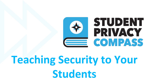

# **Teaching Security to Your Students**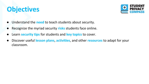### **Objectives**



- Understand the **need** to teach students about security.
- Recognize the myriad security risks students face online.
- Learn **security tips** for students and **key topics** to cover.
- Discover useful **lesson plans**, **activities**, and other **resources** to adapt for your classroom.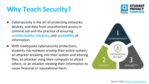# **Why Teach Security?**

- Cybersecurity is the art of protecting networks, devices, and data from unauthorized access or criminal use and the practice of ensuring **confidentiality**, **integrity**, and **availability** of information.
- With inadequate cybersecurity protections, students risk malware erasing their entire system, an attacker breaking into their system and altering files, an attacker using their computer to attack others, or an attacker stealing their information to cause financial or reputational harm.

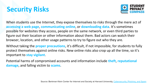# **Security Risks**



When students use the Internet, they expose themselves to risks through the mere act of **accessing a web page**, **communicating online**, or **downloading data**. It's sometimes possible for websites they access, people on the same network, or even third parties to figure out their location or other information about them. Bad actors can watch their browser, location, and other usage patterns to try to figure out who they are.

Without taking the **proper precautions**, it's difficult, if not impossible, for students to fully protect themselves against online risks. New online risks also crop up all the time, so it's important to **stay vigilant**.

Potential harms of compromised accounts and information include **theft**, **reputational damage**, and falling victim to **scams**.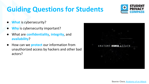# **Guiding Questions for Students**



- **What** is cybersecurity?
- **Why** is cybersecurity important?
- What are **confidentiality**, **integrity**, and **availability**?
- How can we **protect** our information from unauthorized access by hackers and other bad actors?

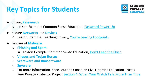# **Key Topics for Students**



- Strong **Passwords**
	- Lesson Example: Common Sense Education, [Password Power-Up](https://www.commonsense.org/education/digital-citizenship/lesson/password-power-up)
- Secure **Networks** and **Devices**
	- Lesson Example: Teaching Privacy, [You're Leaving Footprints](https://teachingprivacy.org/youre-leaving-footprints/)
- **●** Beware of **Malware**
	- **○ Phishing and Spam**
		- Lesson Example: Common Sense Education, [Don't Feed the Phish](https://www.commonsense.org/education/digital-citizenship/lesson/dont-feed-the-phish)
	- **○ Viruses and Trojan Horses**
	- **○ Scareware and Ransomware**
	- **○ Spyware**
	- For more information, check out the Canadian Civil Liberties Education Trust's Peer Privacy Protector Project [Section 4: When Your Watch Tells More Than Time](https://ccla-pppp.squarespace.com/english-index).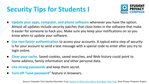# **Security Tips for Students I**



- **Update your apps, computer, and phone software** whenever you have the option. Almost all updates include security patches that close holes in the software that make it easier for someone to hack you. Make sure you keep your notifications on so you know when to update your software.
- **Use two-factor authentication** to access your accounts. A typical extra step of security is for your account to send a text message with a special code to enter after you try to login online.
- **Clear your cache**. Saved cookies, saved searches, and Web history could point to home address, family information and other personal data.
- **Use strong passwords** and keep them secret.
- **Turn off "save password"** feature in browsers.

Source: Canadian Civil Liberties Education Trust, [Section 4: When Your Watch Tells More Than Time](https://ccla-pppp.squarespace.com/english-index), Peer Privacy Protector Project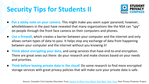# **Security Tips for Students II**



- Put a sticky note on your camera. This might make you seem super paranoid; however, whistleblowers in the past have revealed that many organizations like the NSA can "spy" on people through the front face camera on their computers and phones.
- **Use a firewall**, which creates a barrier between your computer and the internet and only allows certain types of data to pass. It helps stop any exchange of data from happening between your computer and the internet without you knowing it!
- **Think about encrypting your data**, and using services that have end-to-end encryption. There are great ones out there: do your research and make choices based on your needs and priorities.
- **Think before leaving private data in the cloud!** Do some research to find more encrypted storage services with great privacy policies that will make sure your private data is safe.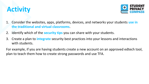



- 1. Consider the websites, apps, platforms, devices, and networks your students **use in the traditional and virtual classrooms**.
- 2. Identify which of the **security tips** you can share with your students.
- 3. Create a plan to **integrate** security best practices into your lessons and interactions with students.

For example, if you are having students create a new account on an approved edtech tool, plan to teach them how to create strong passwords and use TFA.